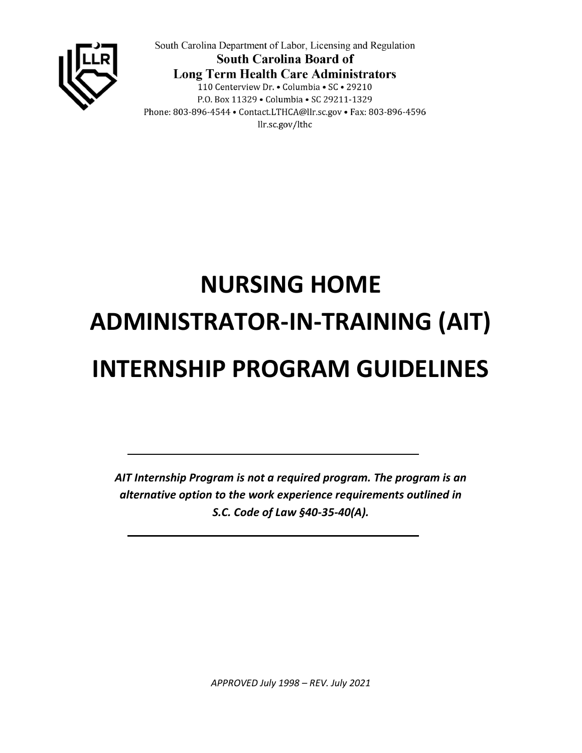

South Carolina Department of Labor, Licensing and Regulation **South Carolina Board of Long Term Health Care Administrators** 110 Centerview Dr. • Columbia • SC • 29210 P.O. Box 11329 . Columbia . SC 29211-1329 Phone: 803-896-4544 • Contact.LTHCA@llr.sc.gov • Fax: 803-896-4596 llr.sc.gov/lthc

# **NURSING HOME ADMINISTRATOR-IN-TRAINING (AIT) INTERNSHIP PROGRAM GUIDELINES**

*AIT Internship Program is not a required program. The program is an alternative option to the work experience requirements outlined in S.C. Code of Law §40-35-40(A).*

*APPROVED July 1998 – REV. July 2021*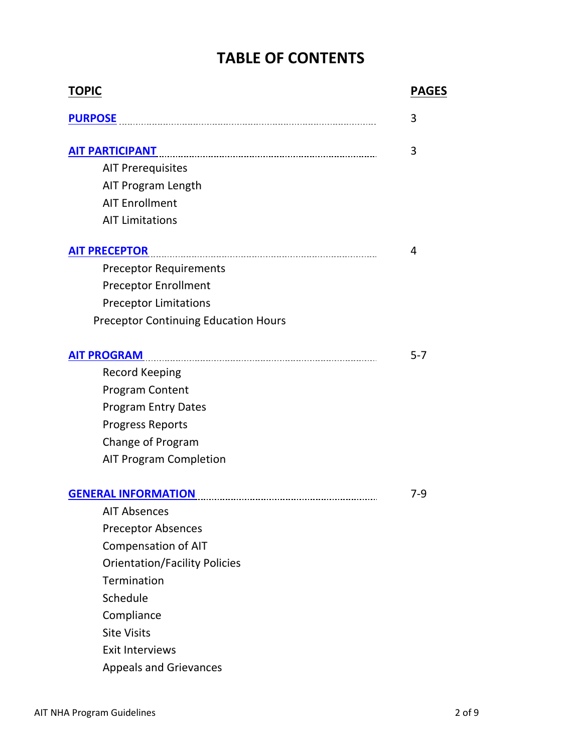## **TABLE OF CONTENTS**

| <b>TOPIC</b>                                | <b>PAGES</b> |
|---------------------------------------------|--------------|
| <b>PURPOSE</b>                              | 3            |
| <b>AIT PARTICIPANT</b>                      | 3            |
| <b>AIT Prerequisites</b>                    |              |
| AIT Program Length                          |              |
| <b>AIT Enrollment</b>                       |              |
| <b>AIT Limitations</b>                      |              |
| <b>AIT PRECEPTOR</b>                        | 4            |
| <b>Preceptor Requirements</b>               |              |
| <b>Preceptor Enrollment</b>                 |              |
| <b>Preceptor Limitations</b>                |              |
| <b>Preceptor Continuing Education Hours</b> |              |
| <b>AIT PROGRAM</b>                          | $5 - 7$      |
| <b>Record Keeping</b>                       |              |
| <b>Program Content</b>                      |              |
| <b>Program Entry Dates</b>                  |              |
| <b>Progress Reports</b>                     |              |
| Change of Program                           |              |
| <b>AIT Program Completion</b>               |              |
| <b>GENERAL INFORMATION</b>                  | 7-9          |
| <b>AIT Absences</b>                         |              |
| <b>Preceptor Absences</b>                   |              |
| <b>Compensation of AIT</b>                  |              |
| <b>Orientation/Facility Policies</b>        |              |
| Termination                                 |              |
| Schedule                                    |              |
| Compliance                                  |              |
| <b>Site Visits</b>                          |              |
| <b>Exit Interviews</b>                      |              |
| <b>Appeals and Grievances</b>               |              |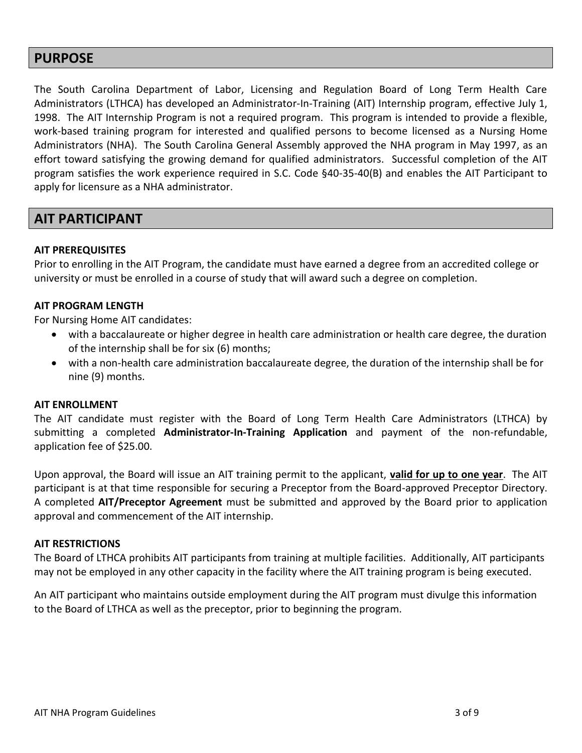### <span id="page-2-0"></span>**PURPOSE**

The South Carolina Department of Labor, Licensing and Regulation Board of Long Term Health Care Administrators (LTHCA) has developed an Administrator-In-Training (AIT) Internship program, effective July 1, 1998. The AIT Internship Program is not a required program. This program is intended to provide a flexible, work-based training program for interested and qualified persons to become licensed as a Nursing Home Administrators (NHA). The South Carolina General Assembly approved the NHA program in May 1997, as an effort toward satisfying the growing demand for qualified administrators. Successful completion of the AIT program satisfies the work experience required in S.C. Code §40-35-40(B) and enables the AIT Participant to apply for licensure as a NHA administrator.

## <span id="page-2-1"></span>**AIT PARTICIPANT**

#### **AIT PREREQUISITES**

Prior to enrolling in the AIT Program, the candidate must have earned a degree from an accredited college or university or must be enrolled in a course of study that will award such a degree on completion.

#### **AIT PROGRAM LENGTH**

For Nursing Home AIT candidates:

- with a baccalaureate or higher degree in health care administration or health care degree, the duration of the internship shall be for six (6) months;
- with a non-health care administration baccalaureate degree, the duration of the internship shall be for nine (9) months.

#### **AIT ENROLLMENT**

The AIT candidate must register with the Board of Long Term Health Care Administrators (LTHCA) by submitting a completed **Administrator-In-Training Application** and payment of the non-refundable, application fee of \$25.00.

Upon approval, the Board will issue an AIT training permit to the applicant, **valid for up to one year**. The AIT participant is at that time responsible for securing a Preceptor from the Board-approved Preceptor Directory. A completed **AIT/Preceptor Agreement** must be submitted and approved by the Board prior to application approval and commencement of the AIT internship.

#### **AIT RESTRICTIONS**

The Board of LTHCA prohibits AIT participants from training at multiple facilities. Additionally, AIT participants may not be employed in any other capacity in the facility where the AIT training program is being executed.

An AIT participant who maintains outside employment during the AIT program must divulge this information to the Board of LTHCA as well as the preceptor, prior to beginning the program.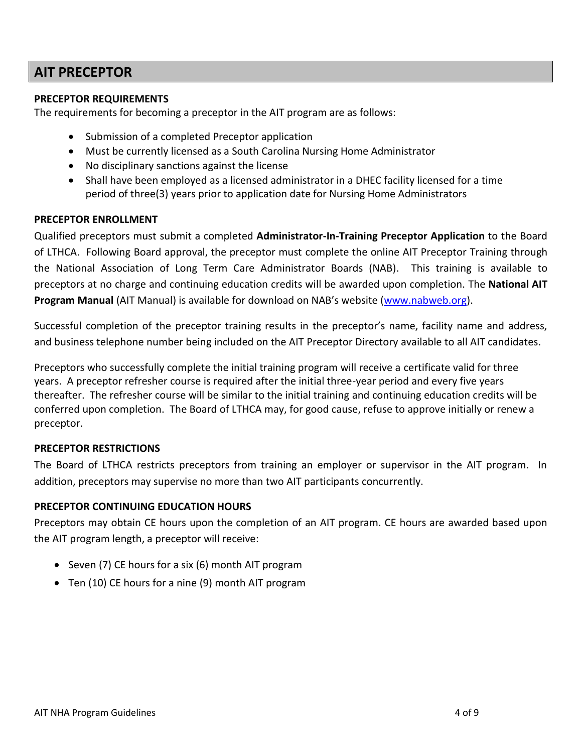## <span id="page-3-0"></span>**AIT PRECEPTOR**

#### **PRECEPTOR REQUIREMENTS**

The requirements for becoming a preceptor in the AIT program are as follows:

- Submission of a completed Preceptor application
- Must be currently licensed as a South Carolina Nursing Home Administrator
- No disciplinary sanctions against the license
- Shall have been employed as a licensed administrator in a DHEC facility licensed for a time period of three(3) years prior to application date for Nursing Home Administrators

#### **PRECEPTOR ENROLLMENT**

Qualified preceptors must submit a completed **Administrator-In-Training Preceptor Application** to the Board of LTHCA. Following Board approval, the preceptor must complete the online AIT Preceptor Training through the National Association of Long Term Care Administrator Boards (NAB). This training is available to preceptors at no charge and continuing education credits will be awarded upon completion. The **National AIT Program Manual** (AIT Manual) is available for download on NAB's website ([www.nabweb.org\)](http://www.nabweb.org/).

Successful completion of the preceptor training results in the preceptor's name, facility name and address, and business telephone number being included on the AIT Preceptor Directory available to all AIT candidates.

Preceptors who successfully complete the initial training program will receive a certificate valid for three years. A preceptor refresher course is required after the initial three-year period and every five years thereafter. The refresher course will be similar to the initial training and continuing education credits will be conferred upon completion. The Board of LTHCA may, for good cause, refuse to approve initially or renew a preceptor.

#### **PRECEPTOR RESTRICTIONS**

The Board of LTHCA restricts preceptors from training an employer or supervisor in the AIT program. In addition, preceptors may supervise no more than two AIT participants concurrently.

#### **PRECEPTOR CONTINUING EDUCATION HOURS**

Preceptors may obtain CE hours upon the completion of an AIT program. CE hours are awarded based upon the AIT program length, a preceptor will receive:

- Seven (7) CE hours for a six (6) month AIT program
- Ten (10) CE hours for a nine (9) month AIT program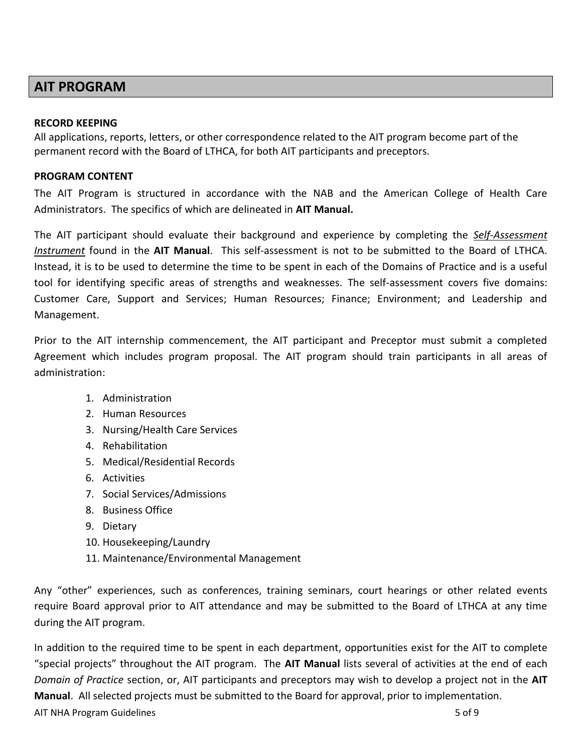## <span id="page-4-0"></span>**AIT PROGRAM**

#### **RECORD KEEPING**

All applications, reports, letters, or other correspondence related to the AIT program become part of the permanent record with the Board of LTHCA, for both AIT participants and preceptors.

#### **PROGRAM CONTENT**

The AIT Program is structured in accordance with the NAB and the American College of Health Care Administrators. The specifics of which are delineated in **AIT Manual.**

The AIT participant should evaluate their background and experience by completing the *Self-Assessment Instrument* found in the **AIT Manual**. This self-assessment is not to be submitted to the Board of LTHCA. Instead, it is to be used to determine the time to be spent in each of the Domains of Practice and is a useful tool for identifying specific areas of strengths and weaknesses. The self-assessment covers five domains: Customer Care, Support and Services; Human Resources; Finance; Environment; and Leadership and Management.

Prior to the AIT internship commencement, the AIT participant and Preceptor must submit a completed Agreement which includes program proposal. The AIT program should train participants in all areas of administration:

- 1. Administration
- 2. Human Resources
- 3. Nursing/Health Care Services
- 4. Rehabilitation
- 5. Medical/Residential Records
- 6. Activities
- 7. Social Services/Admissions
- 8. Business Office
- 9. Dietary
- 10. Housekeeping/Laundry
- 11. Maintenance/Environmental Management

Any "other" experiences, such as conferences, training seminars, court hearings or other related events require Board approval prior to AIT attendance and may be submitted to the Board of LTHCA at any time during the AIT program.

AIT NHA Program Guidelines **5 of 9** and 2012 12:00 the state of 9 and 2012 12:00 the state of 9 and 2012 12:00 the state of 9 and 2012 12:00 the state of 9 and 2012 12:00 the state of 9 and 2012 12:00 the state of 9 and 20 In addition to the required time to be spent in each department, opportunities exist for the AIT to complete "special projects" throughout the AIT program. The **AIT Manual** lists several of activities at the end of each *Domain of Practice* section, or, AIT participants and preceptors may wish to develop a project not in the **AIT Manual**. All selected projects must be submitted to the Board for approval, prior to implementation.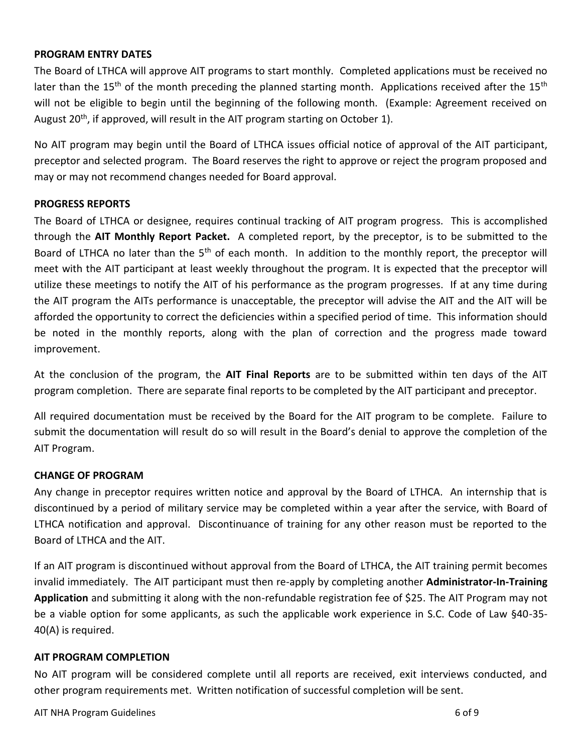#### **PROGRAM ENTRY DATES**

The Board of LTHCA will approve AIT programs to start monthly. Completed applications must be received no later than the 15<sup>th</sup> of the month preceding the planned starting month. Applications received after the 15<sup>th</sup> will not be eligible to begin until the beginning of the following month. (Example: Agreement received on August  $20<sup>th</sup>$ , if approved, will result in the AIT program starting on October 1).

No AIT program may begin until the Board of LTHCA issues official notice of approval of the AIT participant, preceptor and selected program. The Board reserves the right to approve or reject the program proposed and may or may not recommend changes needed for Board approval.

#### **PROGRESS REPORTS**

The Board of LTHCA or designee, requires continual tracking of AIT program progress. This is accomplished through the **AIT Monthly Report Packet.** A completed report, by the preceptor, is to be submitted to the Board of LTHCA no later than the 5<sup>th</sup> of each month. In addition to the monthly report, the preceptor will meet with the AIT participant at least weekly throughout the program. It is expected that the preceptor will utilize these meetings to notify the AIT of his performance as the program progresses. If at any time during the AIT program the AITs performance is unacceptable, the preceptor will advise the AIT and the AIT will be afforded the opportunity to correct the deficiencies within a specified period of time. This information should be noted in the monthly reports, along with the plan of correction and the progress made toward improvement.

At the conclusion of the program, the **AIT Final Reports** are to be submitted within ten days of the AIT program completion. There are separate final reports to be completed by the AIT participant and preceptor.

All required documentation must be received by the Board for the AIT program to be complete. Failure to submit the documentation will result do so will result in the Board's denial to approve the completion of the AIT Program.

#### **CHANGE OF PROGRAM**

Any change in preceptor requires written notice and approval by the Board of LTHCA. An internship that is discontinued by a period of military service may be completed within a year after the service, with Board of LTHCA notification and approval. Discontinuance of training for any other reason must be reported to the Board of LTHCA and the AIT.

If an AIT program is discontinued without approval from the Board of LTHCA, the AIT training permit becomes invalid immediately. The AIT participant must then re-apply by completing another **Administrator-In-Training Application** and submitting it along with the non-refundable registration fee of \$25. The AIT Program may not be a viable option for some applicants, as such the applicable work experience in S.C. Code of Law §40-35- 40(A) is required.

#### **AIT PROGRAM COMPLETION**

No AIT program will be considered complete until all reports are received, exit interviews conducted, and other program requirements met. Written notification of successful completion will be sent.

AIT NHA Program Guidelines **6 of 9** of 9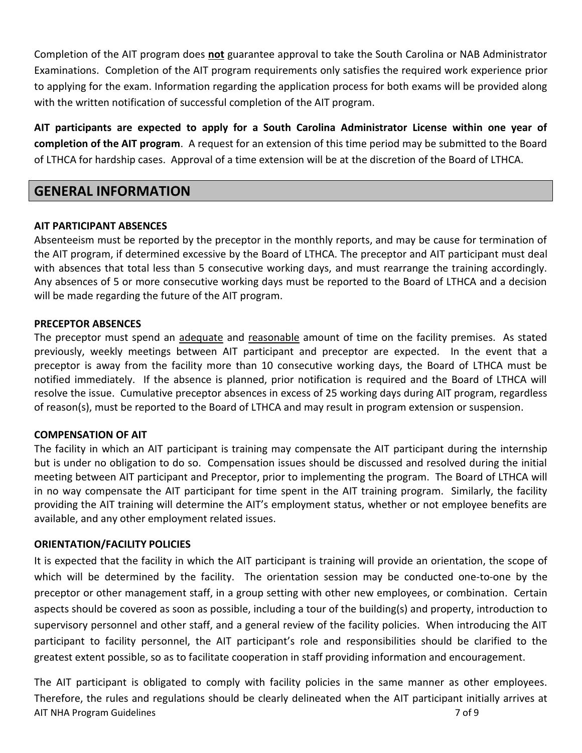Completion of the AIT program does **not** guarantee approval to take the South Carolina or NAB Administrator Examinations. Completion of the AIT program requirements only satisfies the required work experience prior to applying for the exam. Information regarding the application process for both exams will be provided along with the written notification of successful completion of the AIT program.

**AIT participants are expected to apply for a South Carolina Administrator License within one year of completion of the AIT program**. A request for an extension of this time period may be submitted to the Board of LTHCA for hardship cases. Approval of a time extension will be at the discretion of the Board of LTHCA.

## <span id="page-6-0"></span>**GENERAL INFORMATION**

#### **AIT PARTICIPANT ABSENCES**

Absenteeism must be reported by the preceptor in the monthly reports, and may be cause for termination of the AIT program, if determined excessive by the Board of LTHCA. The preceptor and AIT participant must deal with absences that total less than 5 consecutive working days, and must rearrange the training accordingly. Any absences of 5 or more consecutive working days must be reported to the Board of LTHCA and a decision will be made regarding the future of the AIT program.

#### **PRECEPTOR ABSENCES**

The preceptor must spend an adequate and reasonable amount of time on the facility premises. As stated previously, weekly meetings between AIT participant and preceptor are expected. In the event that a preceptor is away from the facility more than 10 consecutive working days, the Board of LTHCA must be notified immediately. If the absence is planned, prior notification is required and the Board of LTHCA will resolve the issue. Cumulative preceptor absences in excess of 25 working days during AIT program, regardless of reason(s), must be reported to the Board of LTHCA and may result in program extension or suspension.

#### **COMPENSATION OF AIT**

The facility in which an AIT participant is training may compensate the AIT participant during the internship but is under no obligation to do so. Compensation issues should be discussed and resolved during the initial meeting between AIT participant and Preceptor, prior to implementing the program. The Board of LTHCA will in no way compensate the AIT participant for time spent in the AIT training program. Similarly, the facility providing the AIT training will determine the AIT's employment status, whether or not employee benefits are available, and any other employment related issues.

#### **ORIENTATION/FACILITY POLICIES**

It is expected that the facility in which the AIT participant is training will provide an orientation, the scope of which will be determined by the facility. The orientation session may be conducted one-to-one by the preceptor or other management staff, in a group setting with other new employees, or combination. Certain aspects should be covered as soon as possible, including a tour of the building(s) and property, introduction to supervisory personnel and other staff, and a general review of the facility policies. When introducing the AIT participant to facility personnel, the AIT participant's role and responsibilities should be clarified to the greatest extent possible, so as to facilitate cooperation in staff providing information and encouragement.

AIT NHA Program Guidelines **7** of 9 The AIT participant is obligated to comply with facility policies in the same manner as other employees. Therefore, the rules and regulations should be clearly delineated when the AIT participant initially arrives at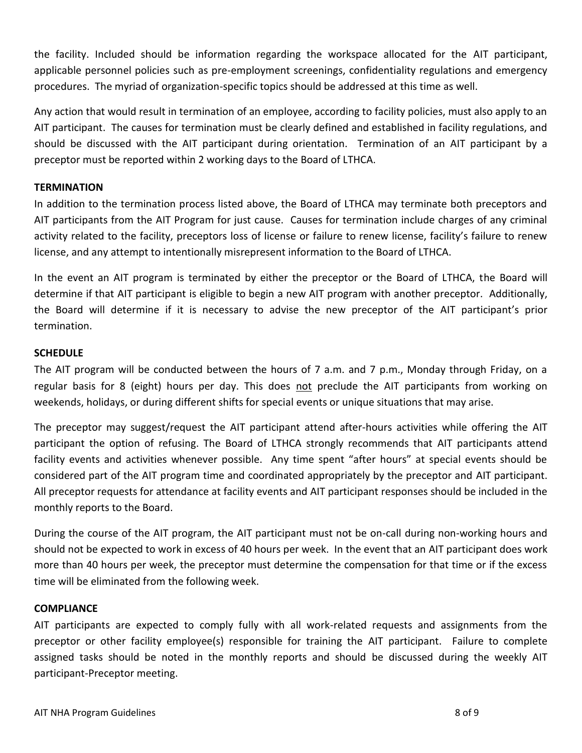the facility. Included should be information regarding the workspace allocated for the AIT participant, applicable personnel policies such as pre-employment screenings, confidentiality regulations and emergency procedures. The myriad of organization-specific topics should be addressed at this time as well.

Any action that would result in termination of an employee, according to facility policies, must also apply to an AIT participant. The causes for termination must be clearly defined and established in facility regulations, and should be discussed with the AIT participant during orientation. Termination of an AIT participant by a preceptor must be reported within 2 working days to the Board of LTHCA.

#### **TERMINATION**

In addition to the termination process listed above, the Board of LTHCA may terminate both preceptors and AIT participants from the AIT Program for just cause. Causes for termination include charges of any criminal activity related to the facility, preceptors loss of license or failure to renew license, facility's failure to renew license, and any attempt to intentionally misrepresent information to the Board of LTHCA.

In the event an AIT program is terminated by either the preceptor or the Board of LTHCA, the Board will determine if that AIT participant is eligible to begin a new AIT program with another preceptor. Additionally, the Board will determine if it is necessary to advise the new preceptor of the AIT participant's prior termination.

#### **SCHEDULE**

The AIT program will be conducted between the hours of 7 a.m. and 7 p.m., Monday through Friday, on a regular basis for 8 (eight) hours per day. This does not preclude the AIT participants from working on weekends, holidays, or during different shifts for special events or unique situations that may arise.

The preceptor may suggest/request the AIT participant attend after-hours activities while offering the AIT participant the option of refusing. The Board of LTHCA strongly recommends that AIT participants attend facility events and activities whenever possible. Any time spent "after hours" at special events should be considered part of the AIT program time and coordinated appropriately by the preceptor and AIT participant. All preceptor requests for attendance at facility events and AIT participant responses should be included in the monthly reports to the Board.

During the course of the AIT program, the AIT participant must not be on-call during non-working hours and should not be expected to work in excess of 40 hours per week. In the event that an AIT participant does work more than 40 hours per week, the preceptor must determine the compensation for that time or if the excess time will be eliminated from the following week.

#### **COMPLIANCE**

AIT participants are expected to comply fully with all work-related requests and assignments from the preceptor or other facility employee(s) responsible for training the AIT participant. Failure to complete assigned tasks should be noted in the monthly reports and should be discussed during the weekly AIT participant-Preceptor meeting.